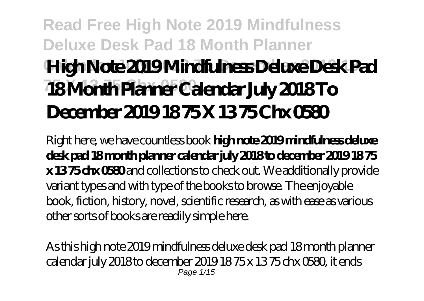# **Read Free High Note 2019 Mindfulness Deluxe Desk Pad 18 Month Planner Calendar July 2018 To December 2019 18 High Note 2019 Mindfulness Deluxe Desk Pad 75 X 13 75 Chx 0580 18 Month Planner Calendar July 2018 To December 2019 18 75 X 13 75 Chx 0580**

Right here, we have countless book **high note 2019 mindfulness deluxe desk pad 18 month planner calendar july 2018 to december 2019 18 75 x 13 75 chx 0580** and collections to check out. We additionally provide variant types and with type of the books to browse. The enjoyable book, fiction, history, novel, scientific research, as with ease as various other sorts of books are readily simple here.

As this high note 2019 mindfulness deluxe desk pad 18 month planner calendar july 2018 to december 2019 18 75 x 13 75 chx 0580, it ends Page 1/15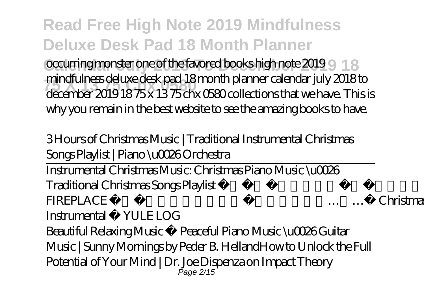occurring monster one of the favored books high note 2019 9 18 **75 X 13 75 Chx 0580** december 2019 18 75 x 13 75 chx 0580 collections that we have. This is mindfulness deluxe desk pad 18 month planner calendar july 2018 to why you remain in the best website to see the amazing books to have.

3 Hours of Christmas Music | Traditional Instrumental Christmas Songs Playlist | Piano \u0026 Orchestra

Instrumental Christmas Music: Christmas Piano Music \u0026 Traditional Christmas Songs Playlist ✰ 8 HOURS ✰ Christmas FIREPLACE ACOUSTIC GUITAR Christmas Music Instrumental YULELOG

Beautiful Relaxing Music • Peaceful Piano Music \u0026 Guitar Music | Sunny Mornings by Peder B. Helland*How to Unlock the Full Potential of Your Mind | Dr. Joe Dispenza on Impact Theory* Page 2/15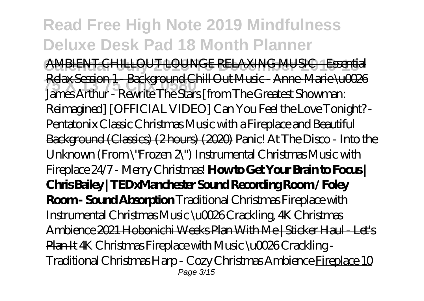### **Read Free High Note 2019 Mindfulness Deluxe Desk Pad 18 Month Planner Calendar July 2018 To December 2019 18** AMBIENT CHILLOUT LOUNGE RELAXING MUSIC - Essential **75 X 13 75 Chx 0580** James Arthur - Rewrite The Stars [from The Greatest Showman: Relax Session 1 - Background Chill Out Music - Anne-Marie \u0026 Reimagined] *[OFFICIAL VIDEO] Can You Feel the Love Tonight? - Pentatonix* Classic Christmas Music with a Fireplace and Beautiful Background (Classics) (2 hours) (2020) *Panic! At The Disco - Into the Unknown (From \"Frozen 2\") Instrumental Christmas Music with Fireplace 24/7 - Merry Christmas!* **How to Get Your Brain to Focus | Chris Bailey | TEDxManchester Sound Recording Room / Foley Room - Sound Absorption** Traditional Christmas Fireplace with Instrumental Christmas Music \u0026 Crackling, 4K Christmas Ambience 2021 Hobonichi Weeks Plan With Me | Sticker Haul - Let's Plan It *4K Christmas Fireplace with Music \u0026 Crackling - Traditional Christmas Harp - Cozy Christmas Ambience* Fireplace 10 Page 3/15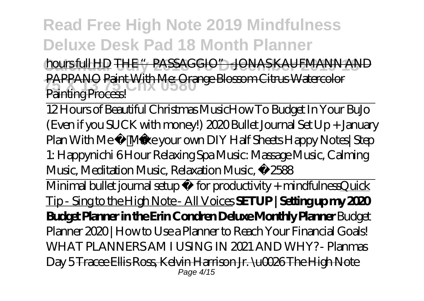**hours full HD THE "PASSAGGIO"** JONAS KAUFMANN AND **75 X 13 75 Chx 0580** PAPPANO Paint With Me: Orange Blossom Citrus Watercolor Painting Process!

12 Hours of Beautiful Christmas Music*How To Budget In Your BuJo (Even if you SUCK with money!) 2020 Bullet Journal Set Up + January Plan With Me Make your own DIY Half Sheets Happy Notes| Step 1: Happynichi 6 Hour Relaxing Spa Music: Massage Music, Calming Music, Meditation Music, Relaxation Music, ☯2588*

Minimal bullet journal setup » for productivity + mindfulnessQuick Tip - Sing to the High Note - All Voices **SETUP | Setting up my 2020 Budget Planner in the Erin Condren Deluxe Monthly Planner** *Budget Planner 2020 | How to Use a Planner to Reach Your Financial Goals! WHAT PLANNERS AM I USING IN 2021 AND WHY? - Planmas Day 5* Tracee Ellis Ross, Kelvin Harrison Jr. \u0026 The High Note Page 4/15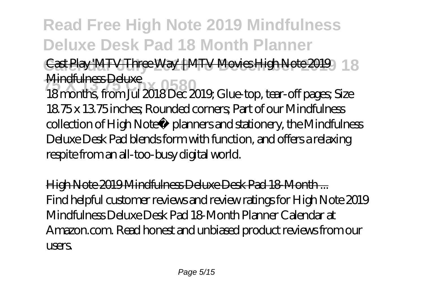Cast Play 'MTV Three Way' | MTV Movies High Note 2019 | 8 Mindfulness Deluxe

**75 TYHTRIFULESS DEFERSE:**<br>18 months, from Jul 2018 Dec 2019; Glue-top, tear-off pages; Size 18.75 x 13.75 inches; Rounded corners; Part of our Mindfulness collection of High Note® planners and stationery, the Mindfulness Deluxe Desk Pad blends form with function, and offers a relaxing respite from an all-too-busy digital world.

High Note 2019 Mindfulness Deluxe Desk Pad 18-Month ... Find helpful customer reviews and review ratings for High Note 2019 Mindfulness Deluxe Desk Pad 18-Month Planner Calendar at Amazon.com. Read honest and unbiased product reviews from our users.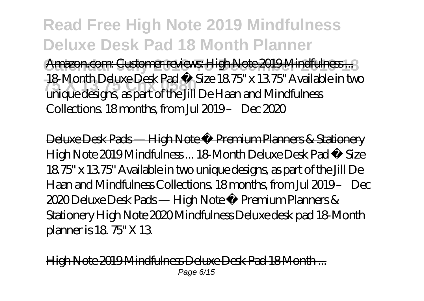**Read Free High Note 2019 Mindfulness Deluxe Desk Pad 18 Month Planner** Amazon.com: Customer reviews: High Note 2019 Mindfulness...? **75 X 13 75 Chx 0580** unique designs, as part of the Jill De Haan and Mindfulness 18-Month Deluxe Desk Pad • Size 18.75" x 13.75" Available in two Collections. 18 months, from Jul 2019 – Dec 2020

Deluxe Desk Pads — High Note ® Premium Planners & Stationery High Note 2019 Mindfulness ... 18-Month Deluxe Desk Pad • Size 18.75" x 13.75" Available in two unique designs, as part of the Jill De Haan and Mindfulness Collections. 18 months, from Jul 2019 – Dec 2020 Deluxe Desk Pads — High Note ® Premium Planners & Stationery High Note 2020 Mindfulness Deluxe desk pad 18-Month planner is 18. 75" X 13.

Jote 2019 Mindfulness Deluxe Desk Pad 18 Month Page 6/15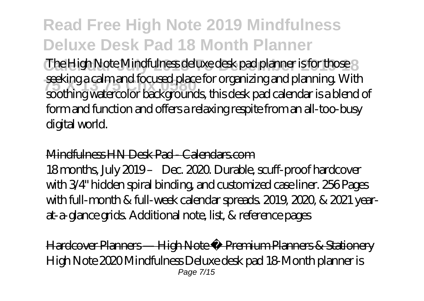The High Note Mindfulness deluxe desk pad planner is for those 3 **33 Sexurig a carri and rocused piace for organizing and pianning vviun**<br>soothing watercolor backgrounds, this desk pad calendar is a blend of seeking a calm and focused place for organizing and planning. With form and function and offers a relaxing respite from an all-too-busy digital world.

#### Mindfulness HN Desk Pad - Calendars.com

18 months, July 2019 – Dec. 2020. Durable, scuff-proof hardcover with 3/4" hidden spiral binding, and customized case liner. 256 Pages with full-month & full-week calendar spreads. 2019, 2020, & 2021 yearat-a-glance grids. Additional note, list, & reference pages

Hardcover Planners — High Note ® Premium Planners & Stationery High Note 2020 Mindfulness Deluxe desk pad 18-Month planner is Page 7/15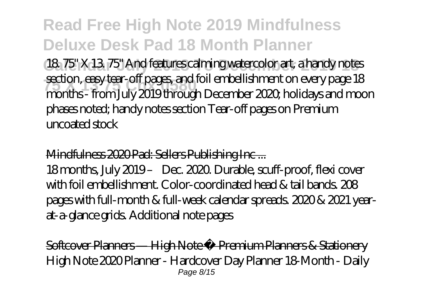18. 75" X 13. 75" And features calming watercolor art, a handy notes **35 Secuon, easy tear-off pages, and foll embellishment on every page 18**<br>months - from July 2019 through December 2020, holidays and moon section, easy tear-off pages, and foil embellishment on every page 18 phases noted; handy notes section Tear-off pages on Premium uncoated stock

#### Mindfulness 2020 Pad: Sellers Publishing Inc ...

18 months, July 2019 – Dec. 2020. Durable, scuff-proof, flexi cover with foil embellishment. Color-coordinated head & tail bands. 208 pages with full-month & full-week calendar spreads. 2020 & 2021 yearat-a-glance grids. Additional note pages

Softcover Planners — High Note ® Premium Planners & Stationery High Note 2020 Planner - Hardcover Day Planner 18-Month - Daily Page 8/15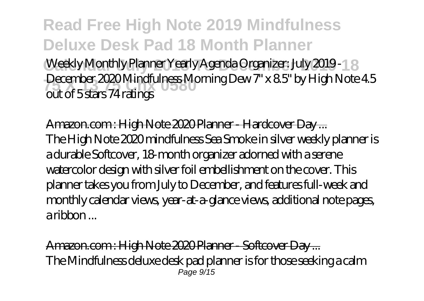**Read Free High Note 2019 Mindfulness Deluxe Desk Pad 18 Month Planner** Weekly Monthly Planner Yearly Agenda Organizer: July 2019 - 18 December 2020 Mindfulness Morning Dew 7" x 8.5" by High Note 4.5<br>cut of 5.store 74 retines out of 5 stars 74 ratings

Amazon.com : High Note 2020 Planner - Hardcover Day ... The High Note 2020 mindfulness Sea Smoke in silver weekly planner is a durable Softcover, 18-month organizer adorned with a serene watercolor design with silver foil embellishment on the cover. This planner takes you from July to December, and features full-week and monthly calendar views, year-at-a-glance views, additional note pages, a ribbon ...

Amazon.com : High Note 2020 Planner - Softcover Day ... The Mindfulness deluxe desk pad planner is for those seeking a calm Page 9/15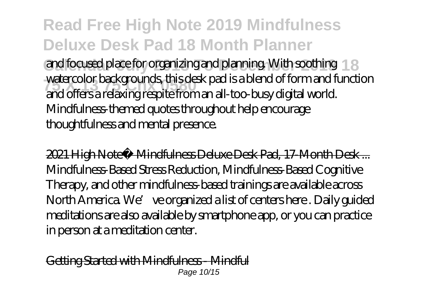and focused place for organizing and planning. With soothing 18 **75 X 13 75 Chx 0580** and offers a relaxing respite from an all-too-busy digital world. watercolor backgrounds, this desk pad is a blend of form and function Mindfulness-themed quotes throughout help encourage thoughtfulness and mental presence.

2021 High Note® Mindfulness Deluxe Desk Pad, 17-Month Desk ... Mindfulness-Based Stress Reduction, Mindfulness-Based Cognitive Therapy, and other mindfulness-based trainings are available across North America. We' ve organized a list of centers here . Daily guided meditations are also available by smartphone app, or you can practice in person at a meditation center.

Getting Started with Mindfulness - Mindful Page 10/15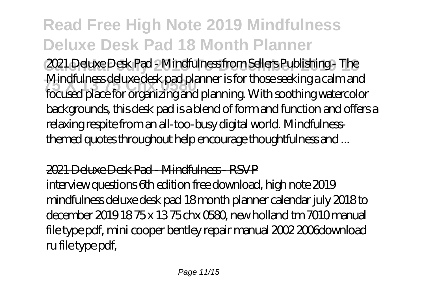**Calendar July 2018 To December 2019 18** 2021 Deluxe Desk Pad - Mindfulness from Sellers Publishing - The **75 X 13 75 Chx 0580** focused place for organizing and planning. With soothing watercolor Mindfulness deluxe desk pad planner is for those seeking a calm and backgrounds, this desk pad is a blend of form and function and offers a relaxing respite from an all-too-busy digital world. Mindfulnessthemed quotes throughout help encourage thoughtfulness and ...

#### 2021 Deluxe Desk Pad - Mindfulness - RSVP

interview questions 6th edition free download, high note 2019 mindfulness deluxe desk pad 18 month planner calendar july 2018 to december 2019 18 75 x 13 75 chx 0580, new holland tm 7010 manual file type pdf, mini cooper bentley repair manual 2002 2006download ru file type pdf,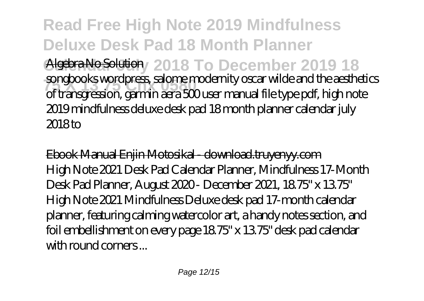**Read Free High Note 2019 Mindfulness Deluxe Desk Pad 18 Month Planner Algebra No Solution** 2018 To December 2019 18 **75 X 13 75 Chx 0580** of transgression, garmin aera 500 user manual file type pdf, high note songbooks wordpress, salome modernity oscar wilde and the aesthetics 2019 mindfulness deluxe desk pad 18 month planner calendar july 2018 to

Ebook Manual Enjin Motosikal - download.truyenyy.com High Note 2021 Desk Pad Calendar Planner, Mindfulness 17-Month Desk Pad Planner, August 2020 - December 2021, 18.75" x 13.75" High Note 2021 Mindfulness Deluxe desk pad 17-month calendar planner, featuring calming watercolor art, a handy notes section, and foil embellishment on every page 18.75" x 13.75" desk pad calendar with round corners...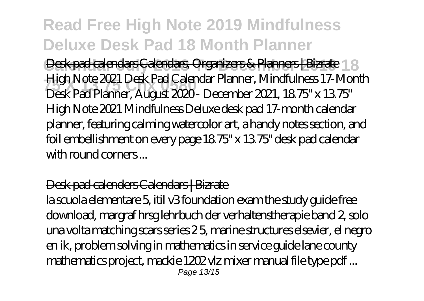Desk pad calendars Calendars, Organizers & Planners | Bizrate 18 **75 X 13 75 Chx 0580** Desk Pad Planner, August 2020 - December 2021, 18.75" x 13.75" High Note 2021 Desk Pad Calendar Planner, Mindfulness 17-Month High Note 2021 Mindfulness Deluxe desk pad 17-month calendar planner, featuring calming watercolor art, a handy notes section, and foil embellishment on every page 18.75" x 13.75" desk pad calendar with round corners ...

#### Desk pad calenders Calendars | Bizrate

la scuola elementare 5, itil v3 foundation exam the study guide free download, margraf hrsg lehrbuch der verhaltenstherapie band 2, solo una volta matching scars series 2 5, marine structures elsevier, el negro en ik, problem solving in mathematics in service guide lane county mathematics project, mackie 1202 vlz mixer manual file type pdf ... Page 13/15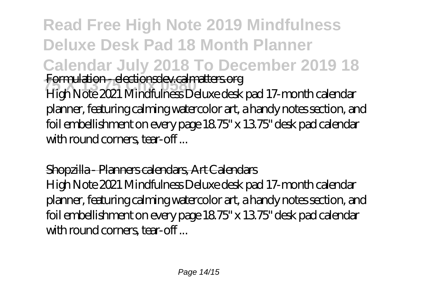**Read Free High Note 2019 Mindfulness Deluxe Desk Pad 18 Month Planner Calendar July 2018 To December 2019 18 75 X 13 75 Chx 0580** Formulation - electionsdev.calmatters.org High Note 2021 Mindfulness Deluxe desk pad 17-month calendar planner, featuring calming watercolor art, a handy notes section, and foil embellishment on every page 18.75" x 13.75" desk pad calendar with round corners, tear-off...

### Shopzilla - Planners calendars, Art Calendars

High Note 2021 Mindfulness Deluxe desk pad 17-month calendar planner, featuring calming watercolor art, a handy notes section, and foil embellishment on every page 18.75" x 13.75" desk pad calendar with round corners, tear-off...